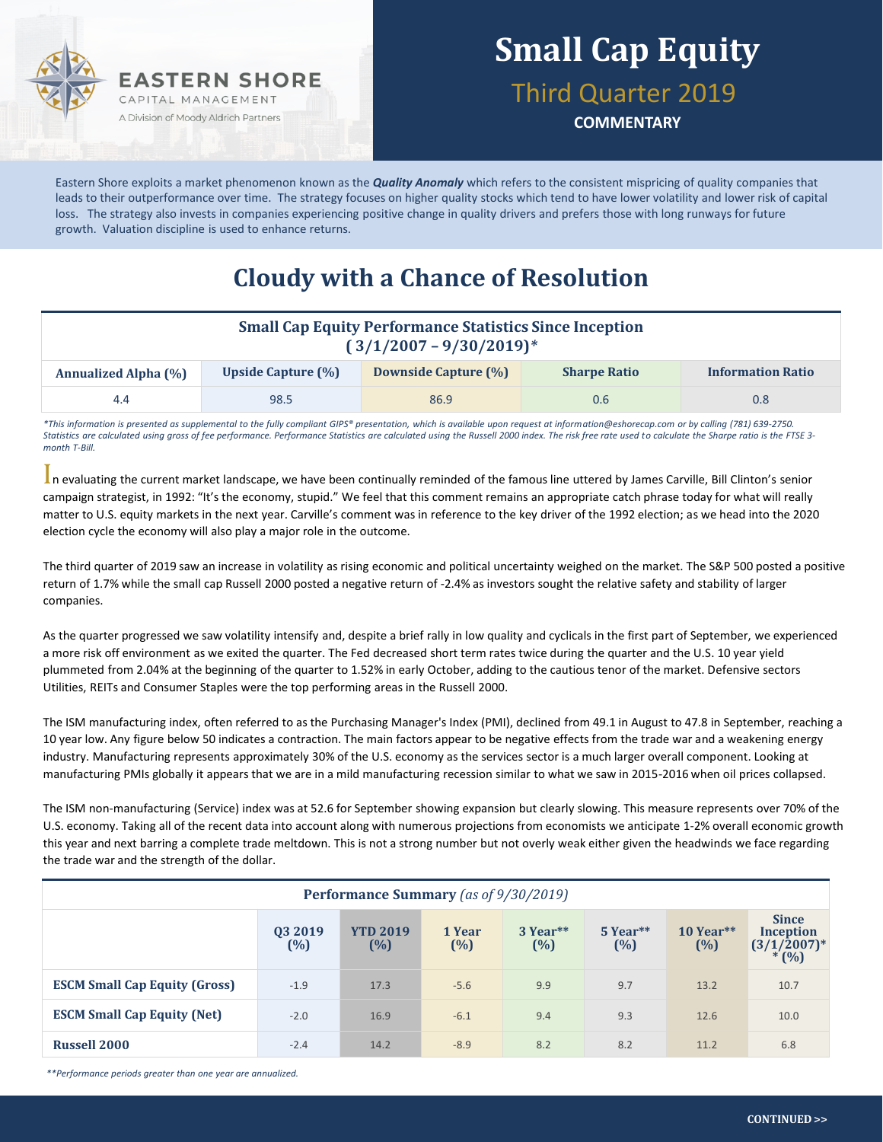

## **Small Cap Equity**

#### Third Quarter 2019

**COMMENTARY**

Eastern Shore exploits a market phenomenon known as the *Quality Anomaly* which refers to the consistent mispricing of quality companies that leads to their outperformance over time. The strategy focuses on higher quality stocks which tend to have lower volatility and lower risk of capital loss. The strategy also invests in companies experiencing positive change in quality drivers and prefers those with long runways for future growth. Valuation discipline is used to enhance returns.

#### **Cloudy with a Chance of Resolution**

| <b>Small Cap Equity Performance Statistics Since Inception</b><br>$(3/1/2007 - 9/30/2019)^*$ |                           |                      |                     |                          |  |  |  |  |
|----------------------------------------------------------------------------------------------|---------------------------|----------------------|---------------------|--------------------------|--|--|--|--|
| <b>Annualized Alpha (%)</b>                                                                  | <b>Upside Capture (%)</b> | Downside Capture (%) | <b>Sharpe Ratio</b> | <b>Information Ratio</b> |  |  |  |  |
| 4.4                                                                                          | 98.5                      | 86.9                 | 0.6                 | $0.8\,$                  |  |  |  |  |

*\*This information is presented as supplemental to the fully compliant GIPS® presentation, which is available upon request at information@eshorecap.com or by calling (781) 639-2750. Statistics are calculated using gross of fee performance. Performance Statistics are calculated using the Russell 2000 index. The risk free rate used to calculate the Sharpe ratio is the FTSE 3 month T-Bill.*

In evaluating the current market landscape, we have been continually reminded of the famous line uttered by James Carville, Bill Clinton's senior campaign strategist, in 1992: "It's the economy, stupid." We feel that this comment remains an appropriate catch phrase today for what will really matter to U.S. equity markets in the next year. Carville's comment was in reference to the key driver of the 1992 election; as we head into the 2020 election cycle the economy will also play a major role in the outcome.

The third quarter of 2019 saw an increase in volatility as rising economic and political uncertainty weighed on the market. The S&P 500 posted a positive return of 1.7% while the small cap Russell 2000 posted a negative return of -2.4% as investors sought the relative safety and stability of larger companies.

As the quarter progressed we saw volatility intensify and, despite a brief rally in low quality and cyclicals in the first part of September, we experienced a more risk off environment as we exited the quarter. The Fed decreased short term rates twice during the quarter and the U.S. 10 year yield plummeted from 2.04% at the beginning of the quarter to 1.52% in early October, adding to the cautious tenor of the market. Defensive sectors Utilities, REITs and Consumer Staples were the top performing areas in the Russell 2000.

The ISM manufacturing index, often referred to as the Purchasing Manager's Index (PMI), declined from 49.1 in August to 47.8 in September, reaching a 10 year low. Any figure below 50 indicates a contraction. The main factors appear to be negative effects from the trade war and a weakening energy industry. Manufacturing represents approximately 30% of the U.S. economy as the services sector is a much larger overall component. Looking at manufacturing PMIs globally it appears that we are in a mild manufacturing recession similar to what we saw in 2015-2016 when oil prices collapsed.

The ISM non-manufacturing (Service) index was at 52.6 for September showing expansion but clearly slowing. This measure represents over 70% of the U.S. economy. Taking all of the recent data into account along with numerous projections from economists we anticipate 1-2% overall economic growth this year and next barring a complete trade meltdown. This is not a strong number but not overly weak either given the headwinds we face regarding the trade war and the strength of the dollar.

| Performance Summary (as of 9/30/2019) |                |                        |                  |                 |                   |                    |                                                        |  |  |
|---------------------------------------|----------------|------------------------|------------------|-----------------|-------------------|--------------------|--------------------------------------------------------|--|--|
|                                       | 03 2019<br>(%) | <b>YTD 2019</b><br>(%) | 1 Year<br>$(\%)$ | 3 Year**<br>(%) | $5$ Year**<br>(%) | $10$ Year**<br>(%) | <b>Since</b><br>Inception<br>$(3/1/2007)^*$<br>$*(\%)$ |  |  |
| <b>ESCM Small Cap Equity (Gross)</b>  | $-1.9$         | 17.3                   | $-5.6$           | 9.9             | 9.7               | 13.2               | 10.7                                                   |  |  |
| <b>ESCM Small Cap Equity (Net)</b>    | $-2.0$         | 16.9                   | $-6.1$           | 9.4             | 9.3               | 12.6               | 10.0                                                   |  |  |
| <b>Russell 2000</b>                   | $-2.4$         | 14.2                   | $-8.9$           | 8.2             | 8.2               | 11.2               | 6.8                                                    |  |  |

*\*\*Performance periods greater than one year are annualized.*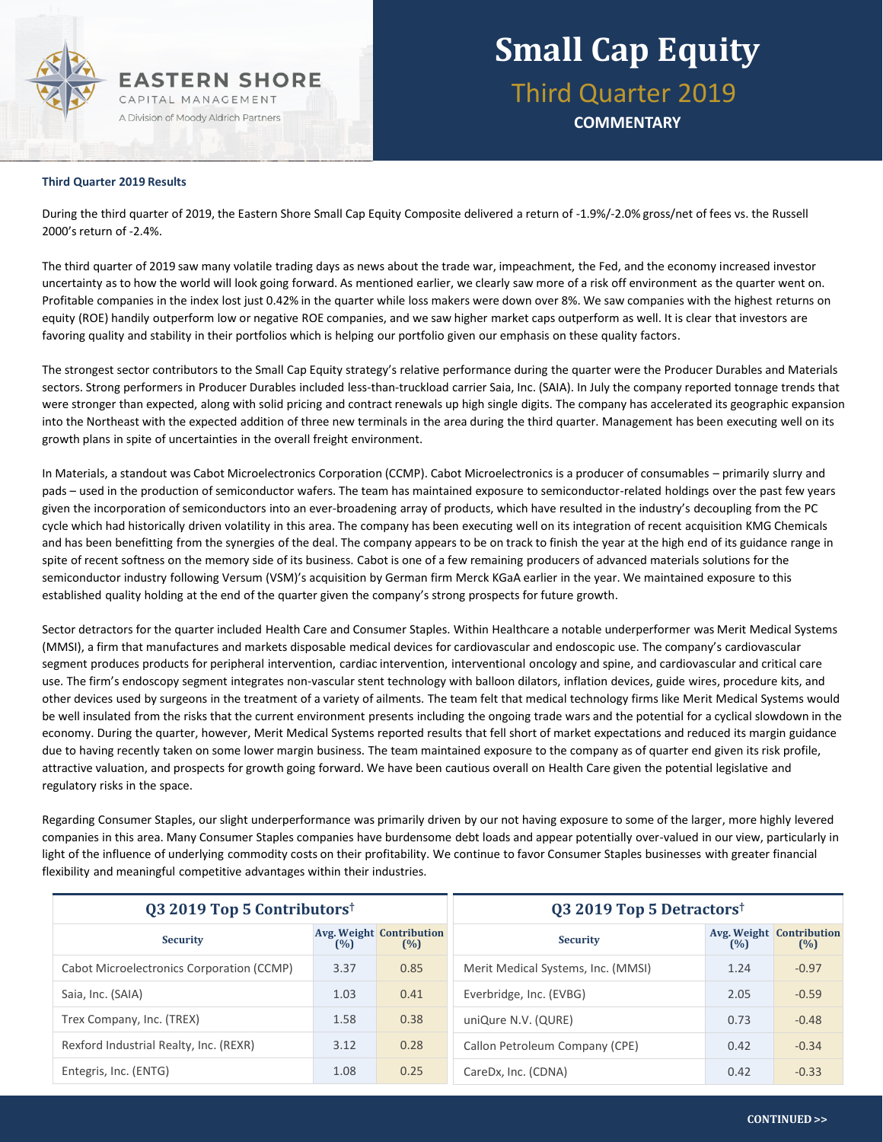

### **Small Cap Equity** Third Quarter 2019

**COMMENTARY**

#### **Third Quarter 2019 Results**

During the third quarter of 2019, the Eastern Shore Small Cap Equity Composite delivered a return of -1.9%/-2.0% gross/net of fees vs. the Russell 2000's return of -2.4%.

The third quarter of 2019 saw many volatile trading days as news about the trade war, impeachment, the Fed, and the economy increased investor uncertainty as to how the world will look going forward. As mentioned earlier, we clearly saw more of a risk off environment as the quarter went on. Profitable companies in the index lost just 0.42% in the quarter while loss makers were down over 8%. We saw companies with the highest returns on equity (ROE) handily outperform low or negative ROE companies, and we saw higher market caps outperform as well. It is clear that investors are favoring quality and stability in their portfolios which is helping our portfolio given our emphasis on these quality factors.

The strongest sector contributors to the Small Cap Equity strategy's relative performance during the quarter were the Producer Durables and Materials sectors. Strong performers in Producer Durables included less-than-truckload carrier Saia, Inc. (SAIA). In July the company reported tonnage trends that were stronger than expected, along with solid pricing and contract renewals up high single digits. The company has accelerated its geographic expansion into the Northeast with the expected addition of three new terminals in the area during the third quarter. Management has been executing well on its growth plans in spite of uncertainties in the overall freight environment.

In Materials, a standout was Cabot Microelectronics Corporation (CCMP). Cabot Microelectronics is a producer of consumables – primarily slurry and pads – used in the production of semiconductor wafers. The team has maintained exposure to semiconductor-related holdings over the past few years given the incorporation of semiconductors into an ever-broadening array of products, which have resulted in the industry's decoupling from the PC cycle which had historically driven volatility in this area. The company has been executing well on its integration of recent acquisition KMG Chemicals and has been benefitting from the synergies of the deal. The company appears to be on track to finish the year at the high end of its guidance range in spite of recent softness on the memory side of its business. Cabot is one of a few remaining producers of advanced materials solutions for the semiconductor industry following Versum (VSM)'s acquisition by German firm Merck KGaA earlier in the year. We maintained exposure to this established quality holding at the end of the quarter given the company's strong prospects for future growth.

Sector detractors for the quarter included Health Care and Consumer Staples. Within Healthcare a notable underperformer was Merit Medical Systems (MMSI), a firm that manufactures and markets disposable medical devices for cardiovascular and endoscopic use. The company's cardiovascular segment produces products for peripheral intervention, cardiac intervention, interventional oncology and spine, and cardiovascular and critical care use. The firm's endoscopy segment integrates non-vascular stent technology with balloon dilators, inflation devices, guide wires, procedure kits, and other devices used by surgeons in the treatment of a variety of ailments. The team felt that medical technology firms like Merit Medical Systems would be well insulated from the risks that the current environment presents including the ongoing trade wars and the potential for a cyclical slowdown in the economy. During the quarter, however, Merit Medical Systems reported results that fell short of market expectations and reduced its margin guidance due to having recently taken on some lower margin business. The team maintained exposure to the company as of quarter end given its risk profile, attractive valuation, and prospects for growth going forward. We have been cautious overall on Health Care given the potential legislative and regulatory risks in the space.

Regarding Consumer Staples, our slight underperformance was primarily driven by our not having exposure to some of the larger, more highly levered companies in this area. Many Consumer Staples companies have burdensome debt loads and appear potentially over-valued in our view, particularly in light of the influence of underlying commodity costs on their profitability. We continue to favor Consumer Staples businesses with greater financial flexibility and meaningful competitive advantages within their industries.

| Q3 2019 Top 5 Contributors <sup>†</sup>   |      |                                        | Q3 2019 Top 5 Detractors <sup>†</sup> |      |                                        |  |
|-------------------------------------------|------|----------------------------------------|---------------------------------------|------|----------------------------------------|--|
| <b>Security</b>                           | (%)  | <b>Avg. Weight Contribution</b><br>(%) | <b>Security</b>                       | (%)  | <b>Avg. Weight Contribution</b><br>(%) |  |
| Cabot Microelectronics Corporation (CCMP) | 3.37 | 0.85                                   | Merit Medical Systems, Inc. (MMSI)    | 1.24 | $-0.97$                                |  |
| Saia, Inc. (SAIA)                         | 1.03 | 0.41                                   | Everbridge, Inc. (EVBG)               | 2.05 | $-0.59$                                |  |
| Trex Company, Inc. (TREX)                 | 1.58 | 0.38                                   | uniQure N.V. (QURE)                   | 0.73 | $-0.48$                                |  |
| Rexford Industrial Realty, Inc. (REXR)    | 3.12 | 0.28                                   | Callon Petroleum Company (CPE)        | 0.42 | $-0.34$                                |  |
| Entegris, Inc. (ENTG)                     | 1.08 | 0.25                                   | CareDx, Inc. (CDNA)                   | 0.42 | $-0.33$                                |  |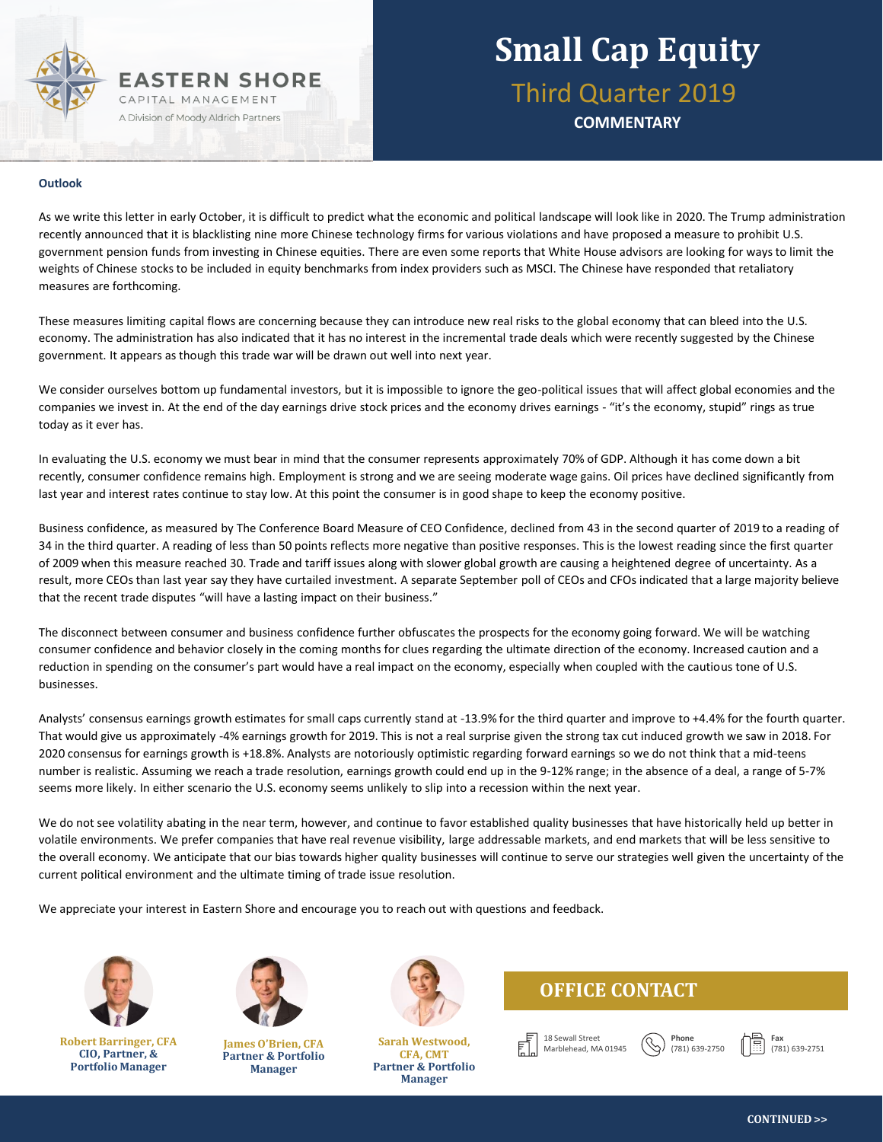### **EASTERN SHORE** CAPITAL MANAGEMENT A Division of Moody Aldrich Partners

# **Small Cap Equity**

Third Quarter 2019

**COMMENTARY**

#### **Outlook**

As we write this letter in early October, it is difficult to predict what the economic and political landscape will look like in 2020. The Trump administration recently announced that it is blacklisting nine more Chinese technology firms for various violations and have proposed a measure to prohibit U.S. government pension funds from investing in Chinese equities. There are even some reports that White House advisors are looking for ways to limit the weights of Chinese stocks to be included in equity benchmarks from index providers such as MSCI. The Chinese have responded that retaliatory measures are forthcoming.

These measures limiting capital flows are concerning because they can introduce new real risks to the global economy that can bleed into the U.S. economy. The administration has also indicated that it has no interest in the incremental trade deals which were recently suggested by the Chinese government. It appears as though this trade war will be drawn out well into next year.

We consider ourselves bottom up fundamental investors, but it is impossible to ignore the geo-political issues that will affect global economies and the companies we invest in. At the end of the day earnings drive stock prices and the economy drives earnings - "it's the economy, stupid" rings as true today as it ever has.

In evaluating the U.S. economy we must bear in mind that the consumer represents approximately 70% of GDP. Although it has come down a bit recently, consumer confidence remains high. Employment is strong and we are seeing moderate wage gains. Oil prices have declined significantly from last year and interest rates continue to stay low. At this point the consumer is in good shape to keep the economy positive.

Business confidence, as measured by The Conference Board Measure of CEO Confidence, declined from 43 in the second quarter of 2019 to a reading of 34 in the third quarter. A reading of less than 50 points reflects more negative than positive responses. This is the lowest reading since the first quarter of 2009 when this measure reached 30. Trade and tariff issues along with slower global growth are causing a heightened degree of uncertainty. As a result, more CEOs than last year say they have curtailed investment. A separate September poll of CEOs and CFOs indicated that a large majority believe that the recent trade disputes "will have a lasting impact on their business."

The disconnect between consumer and business confidence further obfuscates the prospects for the economy going forward. We will be watching consumer confidence and behavior closely in the coming months for clues regarding the ultimate direction of the economy. Increased caution and a reduction in spending on the consumer's part would have a real impact on the economy, especially when coupled with the cautious tone of U.S. businesses.

Analysts' consensus earnings growth estimates for small caps currently stand at -13.9% for the third quarter and improve to +4.4% for the fourth quarter. That would give us approximately -4% earnings growth for 2019. This is not a real surprise given the strong tax cut induced growth we saw in 2018. For 2020 consensus for earnings growth is +18.8%. Analysts are notoriously optimistic regarding forward earnings so we do not think that a mid-teens number is realistic. Assuming we reach a trade resolution, earnings growth could end up in the 9-12% range; in the absence of a deal, a range of 5-7% seems more likely. In either scenario the U.S. economy seems unlikely to slip into a recession within the next year.

We do not see volatility abating in the near term, however, and continue to favor established quality businesses that have historically held up better in volatile environments. We prefer companies that have real revenue visibility, large addressable markets, and end markets that will be less sensitive to the overall economy. We anticipate that our bias towards higher quality businesses will continue to serve our strategies well given the uncertainty of the current political environment and the ultimate timing of trade issue resolution.

We appreciate your interest in Eastern Shore and encourage you to reach out with questions and feedback.



**Robert Barringer, CFA CIO, Partner, & Portfolio Manager**



**James O'Brien, CFA Partner & Portfolio Manager**



**Sarah Westwood, CFA, CMT Partner & Portfolio Manager**